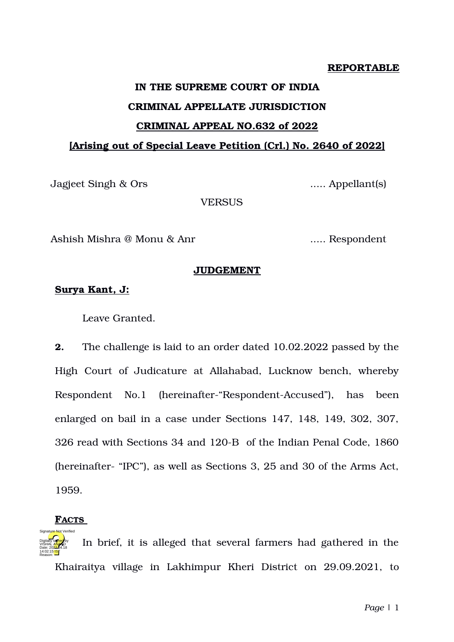# **REPORTABLE**

# **IN THE SUPREME COURT OF INDIA CRIMINAL APPELLATE JURISDICTION CRIMINAL APPEAL NO.632 of 2022 [Arising out of Special Leave Petition (Crl.) No. 2640 of 2022]**

Jagjeet Singh & Ors ..... Appellant(s)

**VERSUS** 

Ashish Mishra @ Monu & Anr ...... Respondent

### **JUDGEMENT**

# **Surya Kant, J:**

Leave Granted.

**2.** The challenge is laid to an order dated 10.02.2022 passed by the High Court of Judicature at Allahabad, Lucknow bench, whereby Respondent No.1 (hereinafter-"Respondent-Accused"), has been enlarged on bail in a case under Sections 147, 148, 149, 302, 307, 326 read with Sections 34 and 120-B of the Indian Penal Code, 1860 (hereinafter "IPC"), as well as Sections 3, 25 and 30 of the Arms Act, 1959.

# **FACTS**

Signature Not Verified

**3.** In brief, it is alleged that several farmers had gathered in the Khairaitya village in Lakhimpur Kheri District on 29.09.2021, to Digitally signed by VISHAL A<mark>NAN</mark>D Date: 2022.04.18 14:02:15 IST Reason: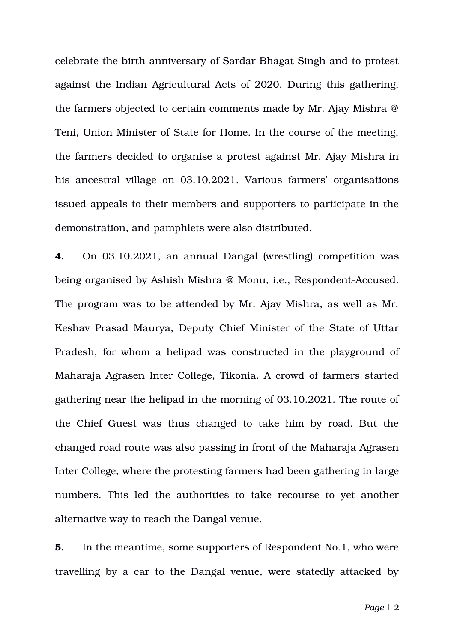celebrate the birth anniversary of Sardar Bhagat Singh and to protest against the Indian Agricultural Acts of 2020. During this gathering, the farmers objected to certain comments made by Mr. Ajay Mishra @ Teni, Union Minister of State for Home. In the course of the meeting, the farmers decided to organise a protest against Mr. Ajay Mishra in his ancestral village on 03.10.2021. Various farmers' organisations issued appeals to their members and supporters to participate in the demonstration, and pamphlets were also distributed.

**4.** On 03.10.2021, an annual Dangal (wrestling) competition was being organised by Ashish Mishra @ Monu, i.e., Respondent-Accused. The program was to be attended by Mr. Ajay Mishra, as well as Mr. Keshav Prasad Maurya, Deputy Chief Minister of the State of Uttar Pradesh, for whom a helipad was constructed in the playground of Maharaja Agrasen Inter College, Tikonia. A crowd of farmers started gathering near the helipad in the morning of 03.10.2021. The route of the Chief Guest was thus changed to take him by road. But the changed road route was also passing in front of the Maharaja Agrasen Inter College, where the protesting farmers had been gathering in large numbers. This led the authorities to take recourse to yet another alternative way to reach the Dangal venue.

**5.** In the meantime, some supporters of Respondent No.1, who were travelling by a car to the Dangal venue, were statedly attacked by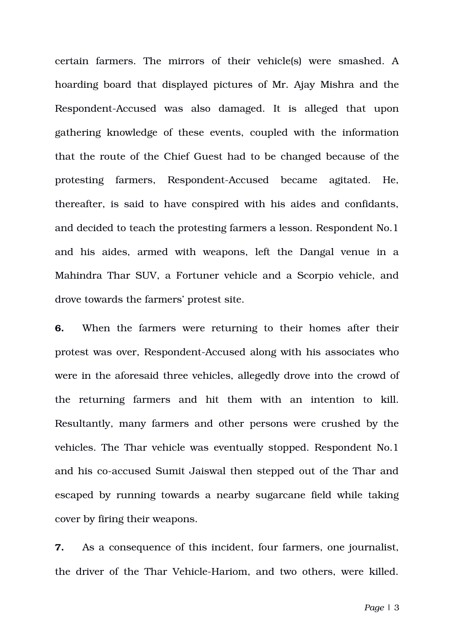certain farmers. The mirrors of their vehicle(s) were smashed. A hoarding board that displayed pictures of Mr. Ajay Mishra and the Respondent-Accused was also damaged. It is alleged that upon gathering knowledge of these events, coupled with the information that the route of the Chief Guest had to be changed because of the protesting farmers, Respondent-Accused became agitated. He, thereafter, is said to have conspired with his aides and confidants, and decided to teach the protesting farmers a lesson. Respondent No.1 and his aides, armed with weapons, left the Dangal venue in a Mahindra Thar SUV, a Fortuner vehicle and a Scorpio vehicle, and drove towards the farmers' protest site.

**6.** When the farmers were returning to their homes after their protest was over, Respondent-Accused along with his associates who were in the aforesaid three vehicles, allegedly drove into the crowd of the returning farmers and hit them with an intention to kill. Resultantly, many farmers and other persons were crushed by the vehicles. The Thar vehicle was eventually stopped. Respondent No.1 and his co-accused Sumit Jaiswal then stepped out of the Thar and escaped by running towards a nearby sugarcane field while taking cover by firing their weapons.

**7.** As a consequence of this incident, four farmers, one journalist, the driver of the Thar Vehicle-Hariom, and two others, were killed.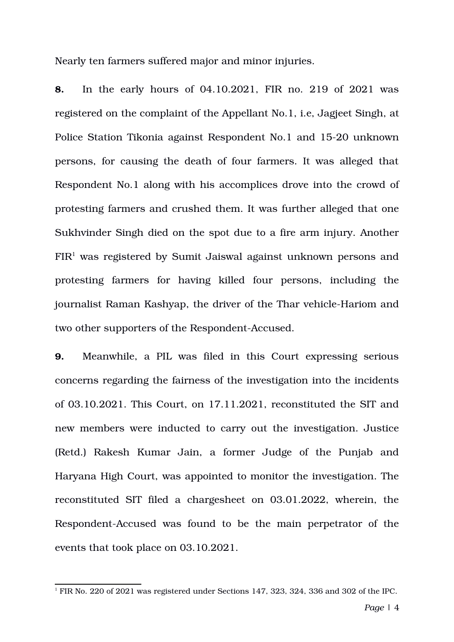Nearly ten farmers suffered major and minor injuries.

**8.** In the early hours of 04.10.2021, FIR no. 219 of 2021 was registered on the complaint of the Appellant No.1, i.e, Jagjeet Singh, at Police Station Tikonia against Respondent No.1 and 1520 unknown persons, for causing the death of four farmers. It was alleged that Respondent No.1 along with his accomplices drove into the crowd of protesting farmers and crushed them. It was further alleged that one Sukhvinder Singh died on the spot due to a fire arm injury. Another  $FIR<sup>1</sup>$  $FIR<sup>1</sup>$  $FIR<sup>1</sup>$  was registered by Sumit Jaiswal against unknown persons and protesting farmers for having killed four persons, including the journalist Raman Kashyap, the driver of the Thar vehicle-Hariom and two other supporters of the Respondent-Accused.

**9.** Meanwhile, a PIL was filed in this Court expressing serious concerns regarding the fairness of the investigation into the incidents of 03.10.2021. This Court, on 17.11.2021, reconstituted the SIT and new members were inducted to carry out the investigation. Justice (Retd.) Rakesh Kumar Jain, a former Judge of the Punjab and Haryana High Court, was appointed to monitor the investigation. The reconstituted SIT filed a chargesheet on 03.01.2022, wherein, the Respondent-Accused was found to be the main perpetrator of the events that took place on 03.10.2021.

<span id="page-3-0"></span><sup>&</sup>lt;sup>1</sup> FIR No. 220 of 2021 was registered under Sections 147, 323, 324, 336 and 302 of the IPC.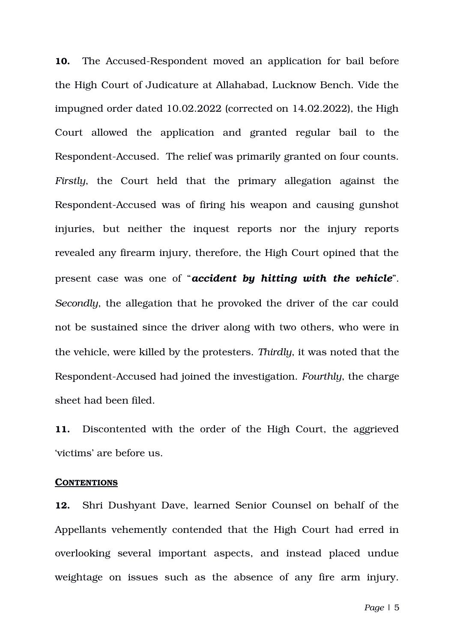**10.** The Accused-Respondent moved an application for bail before the High Court of Judicature at Allahabad, Lucknow Bench. Vide the impugned order dated 10.02.2022 (corrected on 14.02.2022), the High Court allowed the application and granted regular bail to the Respondent-Accused. The relief was primarily granted on four counts. *Firstly*, the Court held that the primary allegation against the Respondent-Accused was of firing his weapon and causing gunshot injuries, but neither the inquest reports nor the injury reports revealed any firearm injury, therefore, the High Court opined that the present case was one of "*accident by hitting with the vehicle*". *Secondly*, the allegation that he provoked the driver of the car could not be sustained since the driver along with two others, who were in the vehicle, were killed by the protesters. *Thirdly*, it was noted that the Respondent-Accused had joined the investigation. *Fourthly*, the charge sheet had been filed.

**11.** Discontented with the order of the High Court, the aggrieved 'victims' are before us.

#### **CONTENTIONS**

**12.** Shri Dushyant Dave, learned Senior Counsel on behalf of the Appellants vehemently contended that the High Court had erred in overlooking several important aspects, and instead placed undue weightage on issues such as the absence of any fire arm injury.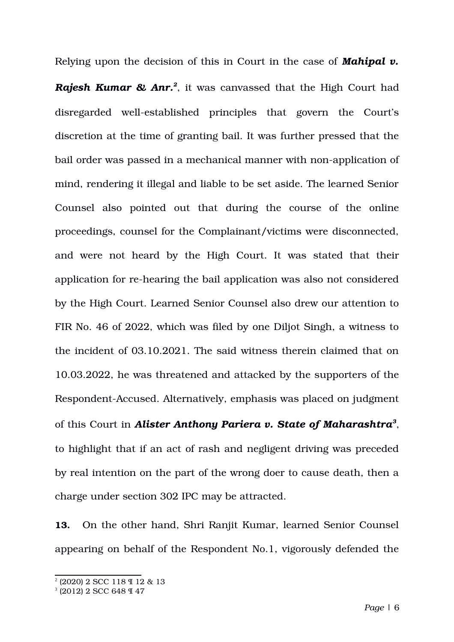Relying upon the decision of this in Court in the case of *Mahipal v.*

*Rajesh Kumar & Anr.[2](#page-5-0)* , it was canvassed that the High Court had disregarded well-established principles that govern the Court's discretion at the time of granting bail. It was further pressed that the bail order was passed in a mechanical manner with non-application of mind, rendering it illegal and liable to be set aside. The learned Senior Counsel also pointed out that during the course of the online proceedings, counsel for the Complainant/victims were disconnected, and were not heard by the High Court. It was stated that their application for re-hearing the bail application was also not considered by the High Court. Learned Senior Counsel also drew our attention to FIR No. 46 of 2022, which was filed by one Diljot Singh, a witness to the incident of 03.10.2021. The said witness therein claimed that on 10.03.2022, he was threatened and attacked by the supporters of the Respondent-Accused. Alternatively, emphasis was placed on judgment of this Court in *Alister Anthony Pariera v. State of Maharashtra[3](#page-5-1)* , to highlight that if an act of rash and negligent driving was preceded by real intention on the part of the wrong doer to cause death, then a charge under section 302 IPC may be attracted.

**13.** On the other hand, Shri Ranjit Kumar, learned Senior Counsel appearing on behalf of the Respondent No.1, vigorously defended the

<span id="page-5-0"></span><sup>2</sup> (2020) 2 SCC 118 ¶ 12 & 13

<span id="page-5-1"></span><sup>3</sup> (2012) 2 SCC 648 ¶ 47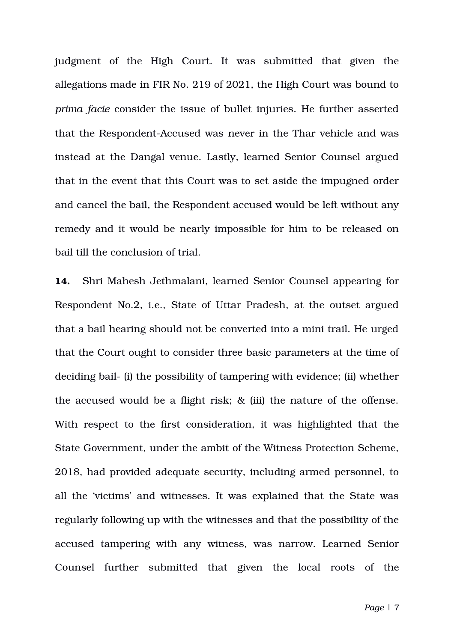judgment of the High Court. It was submitted that given the allegations made in FIR No. 219 of 2021, the High Court was bound to *prima facie* consider the issue of bullet injuries. He further asserted that the Respondent-Accused was never in the Thar vehicle and was instead at the Dangal venue. Lastly, learned Senior Counsel argued that in the event that this Court was to set aside the impugned order and cancel the bail, the Respondent accused would be left without any remedy and it would be nearly impossible for him to be released on bail till the conclusion of trial.

**14.** Shri Mahesh Jethmalani, learned Senior Counsel appearing for Respondent No.2, i.e., State of Uttar Pradesh, at the outset argued that a bail hearing should not be converted into a mini trail. He urged that the Court ought to consider three basic parameters at the time of deciding bail- (i) the possibility of tampering with evidence; (ii) whether the accused would be a flight risk; & (iii) the nature of the offense. With respect to the first consideration, it was highlighted that the State Government, under the ambit of the Witness Protection Scheme, 2018, had provided adequate security, including armed personnel, to all the 'victims' and witnesses. It was explained that the State was regularly following up with the witnesses and that the possibility of the accused tampering with any witness, was narrow. Learned Senior Counsel further submitted that given the local roots of the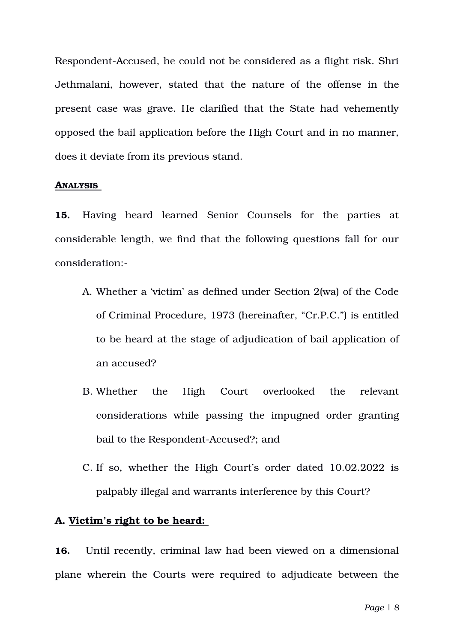Respondent-Accused, he could not be considered as a flight risk. Shri Jethmalani, however, stated that the nature of the offense in the present case was grave. He clarified that the State had vehemently opposed the bail application before the High Court and in no manner, does it deviate from its previous stand.

### **ANALYSIS**

15. Having heard learned Senior Counsels for the parties at considerable length, we find that the following questions fall for our consideration:

- A. Whether a 'victim' as defined under Section 2(wa) of the Code of Criminal Procedure, 1973 (hereinafter, "Cr.P.C.") is entitled to be heard at the stage of adjudication of bail application of an accused?
- B. Whether the High Court overlooked the relevant considerations while passing the impugned order granting bail to the Respondent-Accused?; and
- C. If so, whether the High Court's order dated 10.02.2022 is palpably illegal and warrants interference by this Court?

# **A. Victim's right to be heard:**

**16.** Until recently, criminal law had been viewed on a dimensional plane wherein the Courts were required to adjudicate between the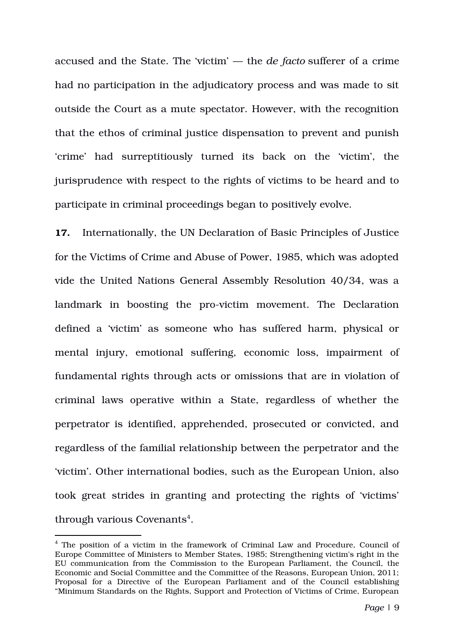accused and the State. The 'victim' — the *de facto* sufferer of a crime had no participation in the adjudicatory process and was made to sit outside the Court as a mute spectator. However, with the recognition that the ethos of criminal justice dispensation to prevent and punish 'crime' had surreptitiously turned its back on the 'victim', the jurisprudence with respect to the rights of victims to be heard and to participate in criminal proceedings began to positively evolve.

**17.** Internationally, the UN Declaration of Basic Principles of Justice for the Victims of Crime and Abuse of Power, 1985, which was adopted vide the United Nations General Assembly Resolution 40/34, was a landmark in boosting the pro-victim movement. The Declaration defined a 'victim' as someone who has suffered harm, physical or mental injury, emotional suffering, economic loss, impairment of fundamental rights through acts or omissions that are in violation of criminal laws operative within a State, regardless of whether the perpetrator is identified, apprehended, prosecuted or convicted, and regardless of the familial relationship between the perpetrator and the 'victim'. Other international bodies, such as the European Union, also took great strides in granting and protecting the rights of 'victims' through various Covenants<sup>[4](#page-8-0)</sup>.

<span id="page-8-0"></span><sup>&</sup>lt;sup>4</sup> The position of a victim in the framework of Criminal Law and Procedure, Council of Europe Committee of Ministers to Member States, 1985; Strengthening victim's right in the EU communication from the Commission to the European Parliament, the Council, the Economic and Social Committee and the Committee of the Reasons, European Union, 2011; Proposal for a Directive of the European Parliament and of the Council establishing "Minimum Standards on the Rights, Support and Protection of Victims of Crime, European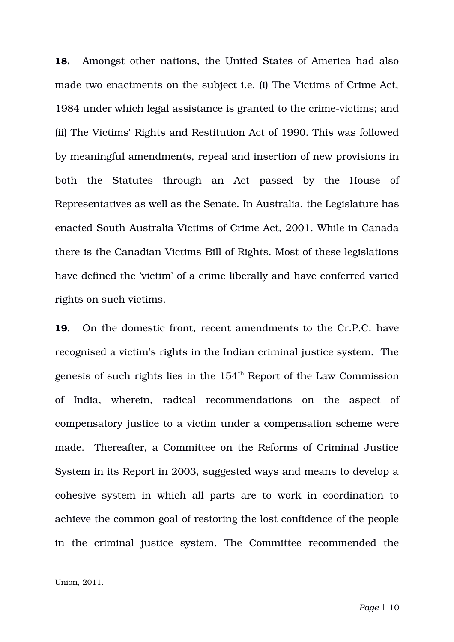**18.** Amongst other nations, the United States of America had also made two enactments on the subject i.e. (i) The Victims of Crime Act, 1984 under which legal assistance is granted to the crime-victims; and (ii) The Victims' Rights and Restitution Act of 1990. This was followed by meaningful amendments, repeal and insertion of new provisions in both the Statutes through an Act passed by the House of Representatives as well as the Senate. In Australia, the Legislature has enacted South Australia Victims of Crime Act, 2001. While in Canada there is the Canadian Victims Bill of Rights. Most of these legislations have defined the 'victim' of a crime liberally and have conferred varied rights on such victims.

**19.** On the domestic front, recent amendments to the Cr.P.C. have recognised a victim's rights in the Indian criminal justice system. The genesis of such rights lies in the  $154<sup>th</sup>$  Report of the Law Commission of India, wherein, radical recommendations on the aspect of compensatory justice to a victim under a compensation scheme were made. Thereafter, a Committee on the Reforms of Criminal Justice System in its Report in 2003, suggested ways and means to develop a cohesive system in which all parts are to work in coordination to achieve the common goal of restoring the lost confidence of the people in the criminal justice system. The Committee recommended the

Union, 2011.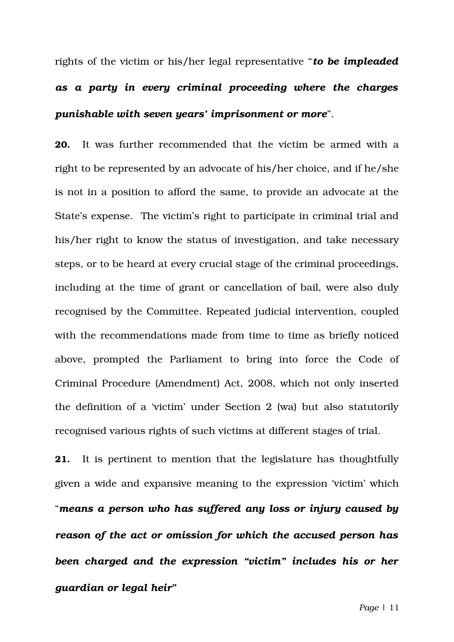rights of the victim or his/her legal representative "*to be impleaded as a party in every criminal proceeding where the charges punishable with seven years' imprisonment or more*".

**20.** It was further recommended that the victim be armed with a right to be represented by an advocate of his/her choice, and if he/she is not in a position to afford the same, to provide an advocate at the State's expense. The victim's right to participate in criminal trial and his/her right to know the status of investigation, and take necessary steps, or to be heard at every crucial stage of the criminal proceedings, including at the time of grant or cancellation of bail, were also duly recognised by the Committee. Repeated judicial intervention, coupled with the recommendations made from time to time as briefly noticed above, prompted the Parliament to bring into force the Code of Criminal Procedure (Amendment) Act, 2008, which not only inserted the definition of a 'victim' under Section 2 (wa) but also statutorily recognised various rights of such victims at different stages of trial.

**21.** It is pertinent to mention that the legislature has thoughtfully given a wide and expansive meaning to the expression 'victim' which "*means a person who has suffered any loss or injury caused by reason of the act or omission for which the accused person has been charged and the expression "victim" includes his or her guardian or legal heir***"**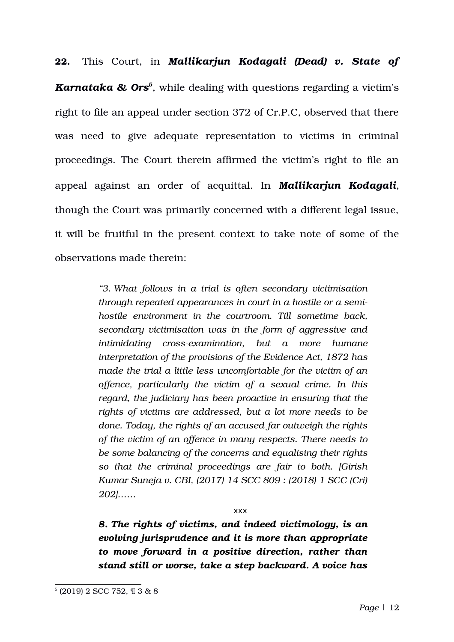**22.** This Court, in *Mallikarjun Kodagali (Dead) v. State of Karnataka & Ors[5](#page-11-0)* , while dealing with questions regarding a victim's right to file an appeal under section 372 of Cr.P.C, observed that there was need to give adequate representation to victims in criminal proceedings. The Court therein affirmed the victim's right to file an appeal against an order of acquittal. In *Mallikarjun Kodagali*, though the Court was primarily concerned with a different legal issue, it will be fruitful in the present context to take note of some of the observations made therein:

> *"3. What follows in a trial is often secondary victimisation through repeated appearances in court in a hostile or a semihostile environment in the courtroom. Till sometime back, secondary victimisation was in the form of aggressive and intimidating crossexamination, but a more humane interpretation of the provisions of the Evidence Act, 1872 has made the trial a little less uncomfortable for the victim of an offence, particularly the victim of a sexual crime. In this regard, the judiciary has been proactive in ensuring that the rights of victims are addressed, but a lot more needs to be done. Today, the rights of an accused far outweigh the rights of the victim of an offence in many respects. There needs to be some balancing of the concerns and equalising their rights so that the criminal proceedings are fair to both. [Girish Kumar Suneja v. CBI, (2017) 14 SCC 809 : (2018) 1 SCC (Cri) 202]……*

> > xxx

*8. The rights of victims, and indeed victimology, is an evolving jurisprudence and it is more than appropriate to move forward in a positive direction, rather than stand still or worse, take a step backward. A voice has*

<span id="page-11-0"></span><sup>5</sup> (2019) 2 SCC 752, ¶ 3 & 8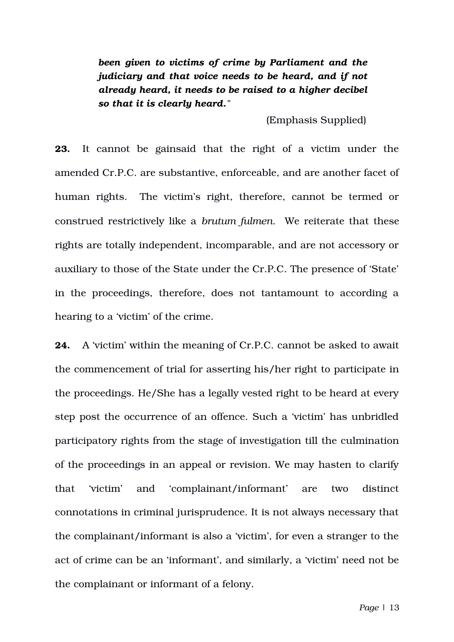*been given to victims of crime by Parliament and the judiciary and that voice needs to be heard, and if not already heard, it needs to be raised to a higher decibel so that it is clearly heard."*

(Emphasis Supplied)

**23.** It cannot be gainsaid that the right of a victim under the amended Cr.P.C. are substantive, enforceable, and are another facet of human rights. The victim's right, therefore, cannot be termed or construed restrictively like a *brutum fulmen*. We reiterate that these rights are totally independent, incomparable, and are not accessory or auxiliary to those of the State under the Cr.P.C. The presence of 'State' in the proceedings, therefore, does not tantamount to according a hearing to a 'victim' of the crime.

**24.** A 'victim' within the meaning of Cr.P.C. cannot be asked to await the commencement of trial for asserting his/her right to participate in the proceedings. He/She has a legally vested right to be heard at every step post the occurrence of an offence. Such a 'victim' has unbridled participatory rights from the stage of investigation till the culmination of the proceedings in an appeal or revision. We may hasten to clarify that 'victim' and 'complainant/informant' are two distinct connotations in criminal jurisprudence. It is not always necessary that the complainant/informant is also a 'victim', for even a stranger to the act of crime can be an 'informant', and similarly, a 'victim' need not be the complainant or informant of a felony.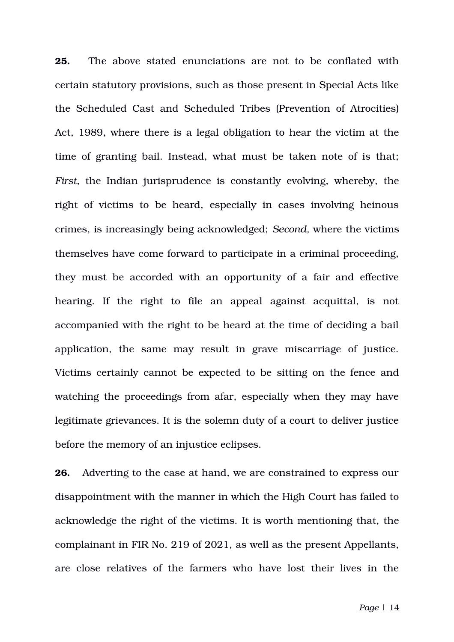**25.** The above stated enunciations are not to be conflated with certain statutory provisions, such as those present in Special Acts like the Scheduled Cast and Scheduled Tribes (Prevention of Atrocities) Act, 1989, where there is a legal obligation to hear the victim at the time of granting bail. Instead, what must be taken note of is that; *First*, the Indian jurisprudence is constantly evolving, whereby, the right of victims to be heard, especially in cases involving heinous crimes, is increasingly being acknowledged; *Second,* where the victims themselves have come forward to participate in a criminal proceeding, they must be accorded with an opportunity of a fair and effective hearing. If the right to file an appeal against acquittal, is not accompanied with the right to be heard at the time of deciding a bail application, the same may result in grave miscarriage of justice. Victims certainly cannot be expected to be sitting on the fence and watching the proceedings from afar, especially when they may have legitimate grievances. It is the solemn duty of a court to deliver justice before the memory of an injustice eclipses.

**26.** Adverting to the case at hand, we are constrained to express our disappointment with the manner in which the High Court has failed to acknowledge the right of the victims. It is worth mentioning that, the complainant in FIR No. 219 of 2021, as well as the present Appellants, are close relatives of the farmers who have lost their lives in the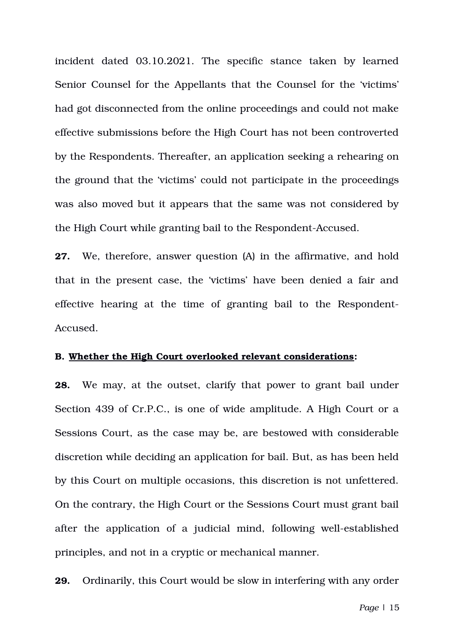incident dated 03.10.2021. The specific stance taken by learned Senior Counsel for the Appellants that the Counsel for the 'victims' had got disconnected from the online proceedings and could not make effective submissions before the High Court has not been controverted by the Respondents. Thereafter, an application seeking a rehearing on the ground that the 'victims' could not participate in the proceedings was also moved but it appears that the same was not considered by the High Court while granting bail to the Respondent-Accused.

**27.** We, therefore, answer question (A) in the affirmative, and hold that in the present case, the 'victims' have been denied a fair and effective hearing at the time of granting bail to the Respondent-Accused.

# **B. Whether the High Court overlooked relevant considerations:**

**28.** We may, at the outset, clarify that power to grant bail under Section 439 of Cr.P.C., is one of wide amplitude. A High Court or a Sessions Court, as the case may be, are bestowed with considerable discretion while deciding an application for bail. But, as has been held by this Court on multiple occasions, this discretion is not unfettered. On the contrary, the High Court or the Sessions Court must grant bail after the application of a judicial mind, following well-established principles, and not in a cryptic or mechanical manner.

**29.** Ordinarily, this Court would be slow in interfering with any order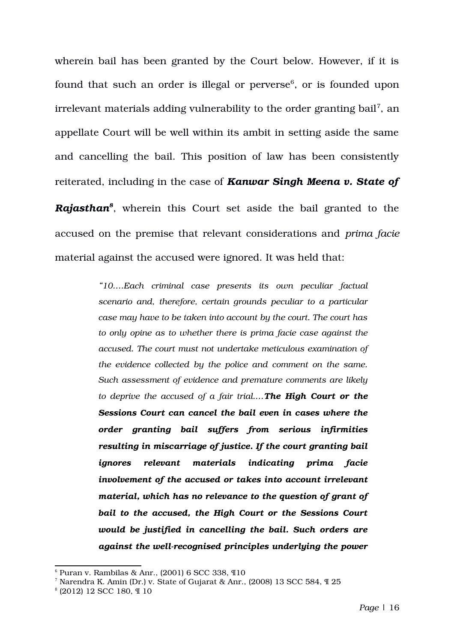wherein bail has been granted by the Court below. However, if it is found that such an order is illegal or perverse $^6$  $^6$ , or is founded upon irrelevant materials adding vulnerability to the order granting bail<sup>[7](#page-15-1)</sup>, an appellate Court will be well within its ambit in setting aside the same and cancelling the bail. This position of law has been consistently reiterated, including in the case of *Kanwar Singh Meena v. State of Rajasthan[8](#page-15-2)* , wherein this Court set aside the bail granted to the accused on the premise that relevant considerations and *prima facie* material against the accused were ignored. It was held that:

> *"10….Each criminal case presents its own peculiar factual scenario and, therefore, certain grounds peculiar to a particular case may have to be taken into account by the court. The court has to only opine as to whether there is prima facie case against the accused. The court must not undertake meticulous examination of the evidence collected by the police and comment on the same. Such assessment of evidence and premature comments are likely to deprive the accused of a fair trial.…The High Court or the Sessions Court can cancel the bail even in cases where the order granting bail suffers from serious infirmities resulting in miscarriage of justice. If the court granting bail ignores relevant materials indicating prima facie involvement of the accused or takes into account irrelevant material, which has no relevance to the question of grant of bail to the accused, the High Court or the Sessions Court would be justified in cancelling the bail. Such orders are against the wellrecognised principles underlying the power*

<span id="page-15-0"></span> $6$  Puran v. Rambilas & Anr., (2001) 6 SCC 338,  $\Pi$ 10

<span id="page-15-1"></span><sup>&</sup>lt;sup>7</sup> Narendra K. Amin (Dr.) v. State of Gujarat & Anr., (2008) 13 SCC 584,  $\mathcal{I}$  25

<span id="page-15-2"></span><sup>8</sup> (2012) 12 SCC 180, ¶ 10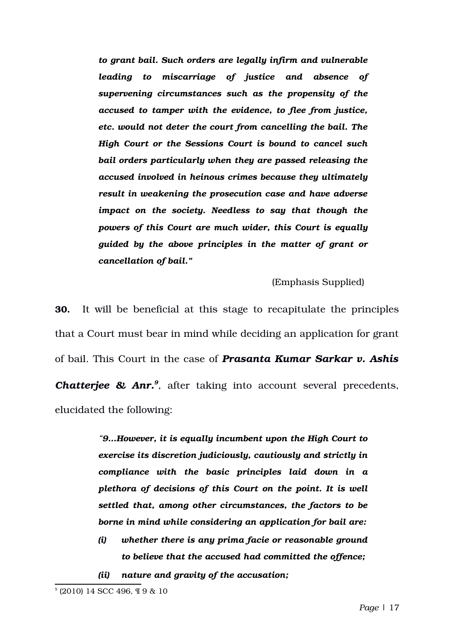*to grant bail. Such orders are legally infirm and vulnerable leading to miscarriage of justice and absence of supervening circumstances such as the propensity of the accused to tamper with the evidence, to flee from justice, etc. would not deter the court from cancelling the bail. The High Court or the Sessions Court is bound to cancel such bail orders particularly when they are passed releasing the accused involved in heinous crimes because they ultimately result in weakening the prosecution case and have adverse impact on the society. Needless to say that though the powers of this Court are much wider, this Court is equally guided by the above principles in the matter of grant or cancellation of bail."*

(Emphasis Supplied)

**30.** It will be beneficial at this stage to recapitulate the principles that a Court must bear in mind while deciding an application for grant of bail. This Court in the case of *Prasanta Kumar Sarkar v. Ashis* **Chatterjee & Anr.**<sup>[9](#page-16-0)</sup>, after taking into account several precedents, elucidated the following:

> *"9…However, it is equally incumbent upon the High Court to exercise its discretion judiciously, cautiously and strictly in compliance with the basic principles laid down in a plethora of decisions of this Court on the point. It is well settled that, among other circumstances, the factors to be borne in mind while considering an application for bail are:*

- *(i) whether there is any prima facie or reasonable ground to believe that the accused had committed the offence;*
- *(ii) nature and gravity of the accusation;*

<span id="page-16-0"></span><sup>9</sup> (2010) 14 SCC 496, ¶ 9 & 10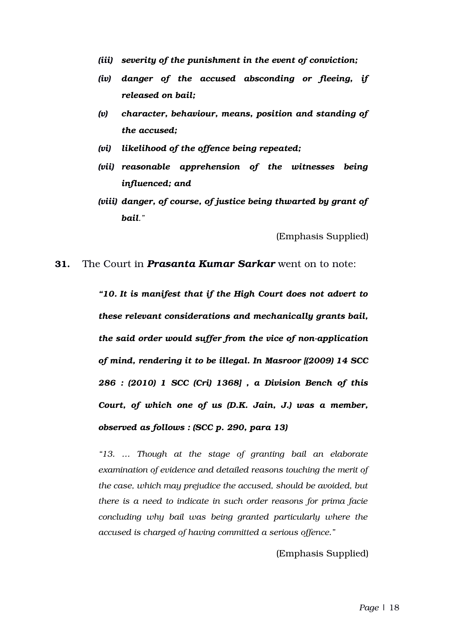- *(iii) severity of the punishment in the event of conviction;*
- *(iv) danger of the accused absconding or fleeing, if released on bail;*
- *(v) character, behaviour, means, position and standing of the accused;*
- *(vi) likelihood of the offence being repeated;*
- *(vii) reasonable apprehension of the witnesses being influenced; and*
- *(viii) danger, of course, of justice being thwarted by grant of bail."*

(Emphasis Supplied)

#### **31.** The Court in *Prasanta Kumar Sarkar* went on to note:

*"10. It is manifest that if the High Court does not advert to these relevant considerations and mechanically grants bail,* the said order would suffer from the vice of non-application *of mind, rendering it to be illegal. In Masroor [(2009) 14 SCC 286 : (2010) 1 SCC (Cri) 1368] , a Division Bench of this Court, of which one of us (D.K. Jain, J.) was a member, observed as follows : (SCC p. 290, para 13)*

*"13. … Though at the stage of granting bail an elaborate examination of evidence and detailed reasons touching the merit of the case, which may prejudice the accused, should be avoided, but there is a need to indicate in such order reasons for prima facie concluding why bail was being granted particularly where the accused is charged of having committed a serious offence."*

(Emphasis Supplied)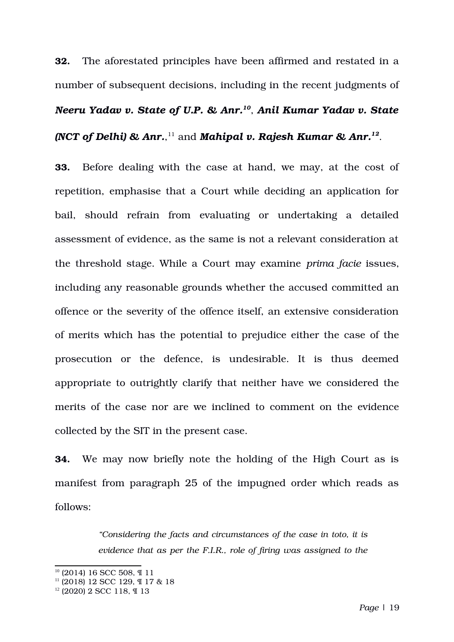**32.** The aforestated principles have been affirmed and restated in a number of subsequent decisions, including in the recent judgments of *Neeru Yadav v. State of U.P. & Anr.[10](#page-18-0)* , *Anil Kumar Yadav v. State (NCT of Delhi) & Anr.*, [11](#page-18-1) and *Mahipal v. Rajesh Kumar & Anr.[12](#page-18-2)* .

**33.** Before dealing with the case at hand, we may, at the cost of repetition, emphasise that a Court while deciding an application for bail, should refrain from evaluating or undertaking a detailed assessment of evidence, as the same is not a relevant consideration at the threshold stage. While a Court may examine *prima facie* issues, including any reasonable grounds whether the accused committed an offence or the severity of the offence itself, an extensive consideration of merits which has the potential to prejudice either the case of the prosecution or the defence, is undesirable. It is thus deemed appropriate to outrightly clarify that neither have we considered the merits of the case nor are we inclined to comment on the evidence collected by the SIT in the present case.

**34.** We may now briefly note the holding of the High Court as is manifest from paragraph 25 of the impugned order which reads as follows:

> *"Considering the facts and circumstances of the case in toto, it is evidence that as per the F.I.R., role of firing was assigned to the*

<span id="page-18-0"></span><sup>10</sup> (2014) 16 SCC 508, ¶ 11

<span id="page-18-1"></span> $11$  (2018) 12 SCC 129, ¶ 17 & 18

<span id="page-18-2"></span><sup>12</sup> (2020) 2 SCC 118, ¶ 13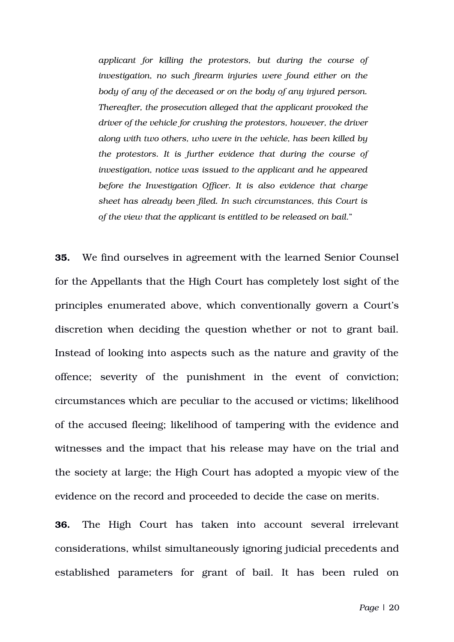*applicant for killing the protestors, but during the course of investigation, no such firearm injuries were found either on the body of any of the deceased or on the body of any injured person. Thereafter, the prosecution alleged that the applicant provoked the driver of the vehicle for crushing the protestors, however, the driver along with two others, who were in the vehicle, has been killed by the protestors. It is further evidence that during the course of investigation, notice was issued to the applicant and he appeared before the Investigation Officer. It is also evidence that charge sheet has already been filed. In such circumstances, this Court is of the view that the applicant is entitled to be released on bail*."

**35.** We find ourselves in agreement with the learned Senior Counsel for the Appellants that the High Court has completely lost sight of the principles enumerated above, which conventionally govern a Court's discretion when deciding the question whether or not to grant bail. Instead of looking into aspects such as the nature and gravity of the offence; severity of the punishment in the event of conviction; circumstances which are peculiar to the accused or victims; likelihood of the accused fleeing; likelihood of tampering with the evidence and witnesses and the impact that his release may have on the trial and the society at large; the High Court has adopted a myopic view of the evidence on the record and proceeded to decide the case on merits.

**36.** The High Court has taken into account several irrelevant considerations, whilst simultaneously ignoring judicial precedents and established parameters for grant of bail. It has been ruled on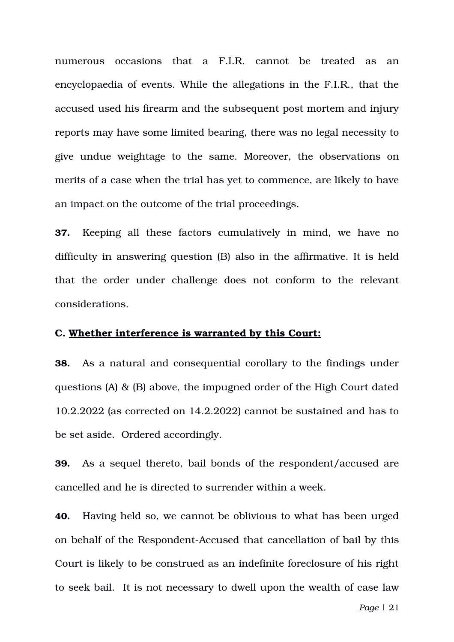numerous occasions that a F.I.R. cannot be treated as an encyclopaedia of events. While the allegations in the F.I.R., that the accused used his firearm and the subsequent post mortem and injury reports may have some limited bearing, there was no legal necessity to give undue weightage to the same. Moreover, the observations on merits of a case when the trial has yet to commence, are likely to have an impact on the outcome of the trial proceedings.

**37.** Keeping all these factors cumulatively in mind, we have no difficulty in answering question (B) also in the affirmative. It is held that the order under challenge does not conform to the relevant considerations.

## **C. Whether interference is warranted by this Court:**

**38.** As a natural and consequential corollary to the findings under questions (A) & (B) above, the impugned order of the High Court dated 10.2.2022 (as corrected on 14.2.2022) cannot be sustained and has to be set aside. Ordered accordingly.

**39.** As a sequel thereto, bail bonds of the respondent/accused are cancelled and he is directed to surrender within a week.

**40.** Having held so, we cannot be oblivious to what has been urged on behalf of the Respondent-Accused that cancellation of bail by this Court is likely to be construed as an indefinite foreclosure of his right to seek bail. It is not necessary to dwell upon the wealth of case law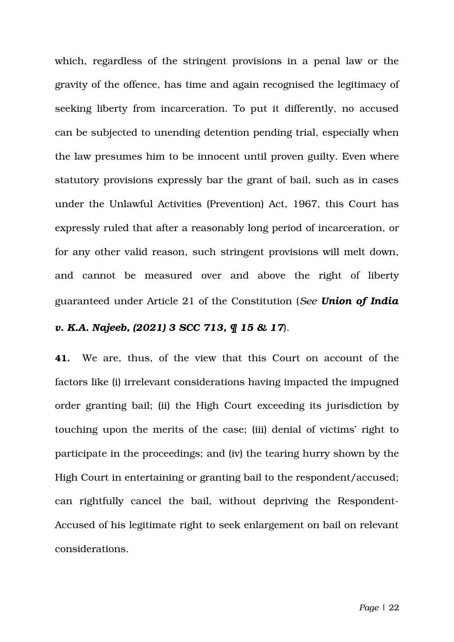which, regardless of the stringent provisions in a penal law or the gravity of the offence, has time and again recognised the legitimacy of seeking liberty from incarceration. To put it differently, no accused can be subjected to unending detention pending trial, especially when the law presumes him to be innocent until proven guilty. Even where statutory provisions expressly bar the grant of bail, such as in cases under the Unlawful Activities (Prevention) Act, 1967, this Court has expressly ruled that after a reasonably long period of incarceration, or for any other valid reason, such stringent provisions will melt down, and cannot be measured over and above the right of liberty guaranteed under Article 21 of the Constitution (*See Union of India*

# *v. K.A. Najeeb, (2021) 3 SCC 713, ¶ 15 & 17*).

**41.** We are, thus, of the view that this Court on account of the factors like (i) irrelevant considerations having impacted the impugned order granting bail; (ii) the High Court exceeding its jurisdiction by touching upon the merits of the case; (iii) denial of victims' right to participate in the proceedings; and (iv) the tearing hurry shown by the High Court in entertaining or granting bail to the respondent/accused; can rightfully cancel the bail, without depriving the Respondent-Accused of his legitimate right to seek enlargement on bail on relevant considerations.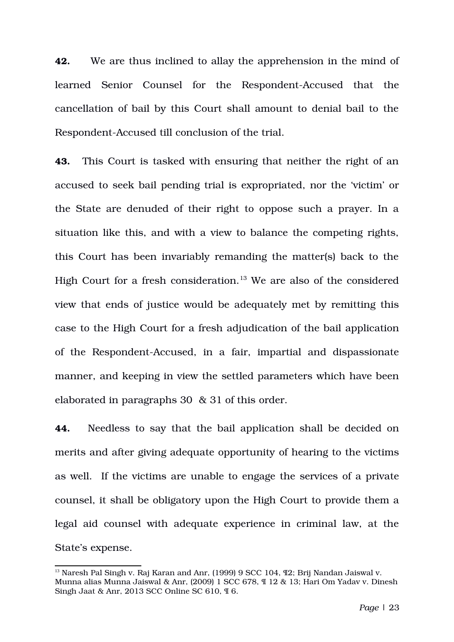**42.** We are thus inclined to allay the apprehension in the mind of learned Senior Counsel for the Respondent-Accused that the cancellation of bail by this Court shall amount to denial bail to the Respondent-Accused till conclusion of the trial.

**43.** This Court is tasked with ensuring that neither the right of an accused to seek bail pending trial is expropriated, nor the 'victim' or the State are denuded of their right to oppose such a prayer. In a situation like this, and with a view to balance the competing rights, this Court has been invariably remanding the matter(s) back to the High Court for a fresh consideration.<sup>[13](#page-22-0)</sup> We are also of the considered view that ends of justice would be adequately met by remitting this case to the High Court for a fresh adjudication of the bail application of the Respondent-Accused, in a fair, impartial and dispassionate manner, and keeping in view the settled parameters which have been elaborated in paragraphs 30 & 31 of this order.

**44.** Needless to say that the bail application shall be decided on merits and after giving adequate opportunity of hearing to the victims as well. If the victims are unable to engage the services of a private counsel, it shall be obligatory upon the High Court to provide them a legal aid counsel with adequate experience in criminal law, at the State's expense.

<span id="page-22-0"></span> $13$  Naresh Pal Singh v. Raj Karan and Anr, (1999) 9 SCC 104,  $\P2$ : Brij Nandan Jaiswal v. Munna alias Munna Jaiswal & Anr, (2009) 1 SCC 678, ¶ 12 & 13; Hari Om Yadav v. Dinesh Singh Jaat & Anr, 2013 SCC Online SC 610, ¶ 6.